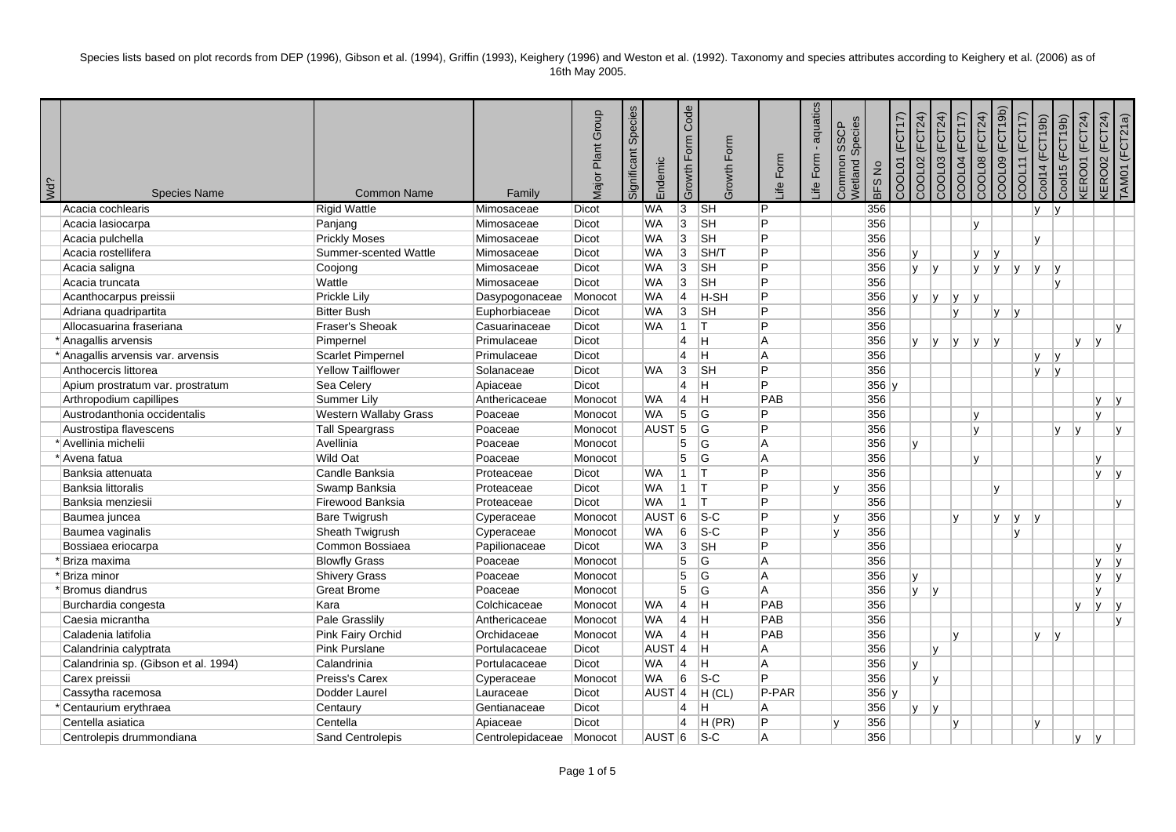| <b>¿PW</b> | <b>Species Name</b>                  | <b>Common Name</b>           | Family           | Major Plant Group | Significant Species | Endemic           | Growth Form Code   | Growth Form                | ife Form       | aquatics<br>life Form | Species<br><b>SSCP</b><br>Common<br>Netland | <b>BFS No</b> | (FCT17)<br>COOL01 | COOL03 (FCT24)<br>COOL02 (FCT24) | COOL04 (FCT17) | COOL08 (FCT24) | COOL09 (FCT19b) | COOL11 (FCT17) | Cool14 (FCT19b) | Cool15 (FCT19b) | <b>KEROO1 (FCT24)</b> | <b><ero02 (fct24)<="" b=""></ero02></b> | TAM01 (FCT21a) |
|------------|--------------------------------------|------------------------------|------------------|-------------------|---------------------|-------------------|--------------------|----------------------------|----------------|-----------------------|---------------------------------------------|---------------|-------------------|----------------------------------|----------------|----------------|-----------------|----------------|-----------------|-----------------|-----------------------|-----------------------------------------|----------------|
|            | Acacia cochlearis                    | <b>Rigid Wattle</b>          | Mimosaceae       | Dicot             |                     | <b>WA</b>         | 3                  | $\overline{\mathsf{S}}$ H  | $\overline{P}$ |                       |                                             | 356           |                   |                                  |                |                |                 |                | IV.             | $\mathsf{v}$    |                       |                                         |                |
|            | Acacia lasiocarpa                    | Panjang                      | Mimosaceae       | Dicot             |                     | <b>WA</b>         | $\overline{3}$     | $\overline{\mathsf{S}}$ H  | P              |                       |                                             | 356           |                   |                                  |                | V              |                 |                |                 |                 |                       |                                         |                |
|            | Acacia pulchella                     | <b>Prickly Moses</b>         | Mimosaceae       | Dicot             |                     | <b>WA</b>         | 3                  | <b>SH</b>                  | P              |                       |                                             | 356           |                   |                                  |                |                |                 |                | Iv.             |                 |                       |                                         |                |
|            | Acacia rostellifera                  | Summer-scented Wattle        | Mimosaceae       | <b>Dicot</b>      |                     | <b>WA</b>         | 3                  | SH/T                       | P              |                       |                                             | 356           |                   | v                                |                | V              | ۱v              |                |                 |                 |                       |                                         |                |
|            | Acacia saligna                       | Coojong                      | Mimosaceae       | Dicot             |                     | <b>WA</b>         | $\overline{3}$     | $\overline{\mathsf{S}}$ H  | P              |                       |                                             | 356           |                   | $\mathsf{v}$<br><b>V</b>         |                | <b>V</b>       | v               | v              | lv.             | I٧              |                       |                                         |                |
|            | Acacia truncata                      | Wattle                       | Mimosaceae       | Dicot             |                     | <b>WA</b>         | 3                  | <b>SH</b>                  | P              |                       |                                             | 356           |                   |                                  |                |                |                 |                |                 | $\mathsf{v}$    |                       |                                         |                |
|            | Acanthocarpus preissii               | Prickle Lily                 | Dasypogonaceae   | Monocot           |                     | <b>WA</b>         | $\overline{4}$     | H-SH                       | P              |                       |                                             | 356           |                   | <b>v</b><br> v                   | Iv.            | Iv.            |                 |                |                 |                 |                       |                                         |                |
|            | Adriana quadripartita                | <b>Bitter Bush</b>           | Euphorbiaceae    | Dicot             |                     | <b>WA</b>         | 3                  | $\overline{\mathsf{S}}$ H  | P              |                       |                                             | 356           |                   |                                  | Iv.            |                | lv.             | $\mathsf{v}$   |                 |                 |                       |                                         |                |
|            | Allocasuarina fraseriana             | Fraser's Sheoak              | Casuarinaceae    | <b>Dicot</b>      |                     | <b>WA</b>         | $\mathbf{1}$       | IT.                        | P              |                       |                                             | 356           |                   |                                  |                |                |                 |                |                 |                 |                       | Iv.                                     |                |
|            | * Anagallis arvensis                 | Pimpernel                    | Primulaceae      | Dicot             |                     |                   | $\overline{4}$     | lH.                        | A              |                       |                                             | 356           |                   | Iv.<br>v                         | Iv.            | v              | lv.             |                |                 |                 | <b>v</b><br>I٧        |                                         |                |
|            | * Anagallis arvensis var. arvensis   | Scarlet Pimpernel            | Primulaceae      | Dicot             |                     |                   | $\overline{4}$     | lн.                        | A              |                       |                                             | 356           |                   |                                  |                |                |                 |                | ly.             | y               |                       |                                         |                |
|            | Anthocercis littorea                 | <b>Yellow Tailflower</b>     | Solanaceae       | Dicot             |                     | <b>WA</b>         | 3                  | <sub>SH</sub>              | P              |                       |                                             | 356           |                   |                                  |                |                |                 |                | IV.             | lv.             |                       |                                         |                |
|            | Apium prostratum var. prostratum     | Sea Celery                   | Apiaceae         | Dicot             |                     |                   | $\overline{4}$     | lн.                        | P              |                       |                                             | $356$ y       |                   |                                  |                |                |                 |                |                 |                 |                       |                                         |                |
|            | Arthropodium capillipes              | Summer Lily                  | Anthericaceae    | Monocot           |                     | <b>WA</b>         | 4                  | Iн.                        | <b>PAB</b>     |                       |                                             | 356           |                   |                                  |                |                |                 |                |                 |                 | <b>y</b>              | v                                       |                |
|            | Austrodanthonia occidentalis         | <b>Western Wallaby Grass</b> | Poaceae          | Monocot           |                     | <b>WA</b>         | $\overline{5}$     | G                          | P              |                       |                                             | 356           |                   |                                  |                | v              |                 |                |                 |                 | lv.                   |                                         |                |
|            | Austrostipa flavescens               | Tall Speargrass              | Poaceae          | Monocot           |                     | AUST <sub>5</sub> |                    | lG.                        | P              |                       |                                             | 356           |                   |                                  |                | v              |                 |                |                 | v<br>I٧         |                       | I٧                                      |                |
|            | * Avellinia michelii                 | Avellinia                    | Poaceae          | Monocot           |                     |                   | 5                  | lG.                        | A              |                       |                                             | 356           |                   | v                                |                |                |                 |                |                 |                 |                       |                                         |                |
|            | * Avena fatua                        | Wild Oat                     | Poaceae          | Monocot           |                     |                   | 5                  | lG.                        | A              |                       |                                             | 356           |                   |                                  |                | v              |                 |                |                 |                 | V                     |                                         |                |
|            | Banksia attenuata                    | Candle Banksia               | Proteaceae       | Dicot             |                     | <b>WA</b>         | $1$ $\overline{1}$ |                            | P              |                       |                                             | 356           |                   |                                  |                |                |                 |                |                 |                 | <b>y</b>              | v                                       |                |
|            | Banksia littoralis                   | Swamp Banksia                | Proteaceae       | Dicot             |                     | <b>WA</b>         | $\mathbf{1}$       | IT.                        | P              |                       |                                             | 356           |                   |                                  |                |                | Iv.             |                |                 |                 |                       |                                         |                |
|            | Banksia menziesii                    | Firewood Banksia             | Proteaceae       | Dicot             |                     | <b>WA</b>         | $\mathbf{1}$       | IT.                        | Þ              |                       |                                             | 356           |                   |                                  |                |                |                 |                |                 |                 |                       | Iv.                                     |                |
|            | Baumea juncea                        | <b>Bare Twigrush</b>         | Cyperaceae       | Monocot           |                     | AUST              | 6                  | $\overline{\mathsf{s}}$ -C | P              |                       | lv.                                         | 356           |                   |                                  | $\mathsf{v}$   |                | Iv.             | IV.            | Iv.             |                 |                       |                                         |                |
|            | Baumea vaginalis                     | Sheath Twigrush              | Cyperaceae       | Monocot           |                     | <b>WA</b>         | 6                  | $ S-C $                    | P              |                       | l٧                                          | 356           |                   |                                  |                |                |                 | lv.            |                 |                 |                       |                                         |                |
|            | Bossiaea eriocarpa                   | Common Bossiaea              | Papilionaceae    | Dicot             |                     | <b>WA</b>         | $\overline{3}$     | <b>SH</b>                  | P              |                       |                                             | 356           |                   |                                  |                |                |                 |                |                 |                 |                       | ١v                                      |                |
|            | Briza maxima                         | <b>Blowfly Grass</b>         | Poaceae          | Monocot           |                     |                   | 5                  | G                          | A              |                       |                                             | 356           |                   |                                  |                |                |                 |                |                 |                 | V                     | ١v                                      |                |
|            | Briza minor                          | <b>Shivery Grass</b>         | Poaceae          | Monocot           |                     |                   | 5                  | G                          | A              |                       |                                             | 356           |                   | v                                |                |                |                 |                |                 |                 | <b>y</b>              | ۱v                                      |                |
|            | Bromus diandrus                      | <b>Great Brome</b>           | Poaceae          | Monocot           |                     |                   | 5                  | lG.                        | A              |                       |                                             | 356           |                   | <b>V</b><br> v                   |                |                |                 |                |                 |                 | V                     |                                         |                |
|            | Burchardia congesta                  | Kara                         | Colchicaceae     | Monocot           |                     | <b>WA</b>         | $\overline{4}$     | Iн                         | PAB            |                       |                                             | 356           |                   |                                  |                |                |                 |                |                 | v               | V                     | v                                       |                |
|            | Caesia micrantha                     | <b>Pale Grasslily</b>        | Anthericaceae    | Monocot           |                     | <b>WA</b>         | $\overline{4}$     | -Iн                        | PAB            |                       |                                             | 356           |                   |                                  |                |                |                 |                |                 |                 |                       | lv                                      |                |
|            | Caladenia latifolia                  | Pink Fairy Orchid            | Orchidaceae      | Monocot           |                     | <b>WA</b>         | 4                  | İΗ                         | PAB            |                       |                                             | 356           |                   |                                  | $\mathsf{v}$   |                |                 |                | Iv.             | $\mathsf{v}$    |                       |                                         |                |
|            | Calandrinia calyptrata               | Pink Purslane                | Portulacaceae    | Dicot             |                     | AUST <sub>4</sub> |                    | lн                         | A              |                       |                                             | 356           |                   | I٧                               |                |                |                 |                |                 |                 |                       |                                         |                |
|            | Calandrinia sp. (Gibson et al. 1994) | Calandrinia                  | Portulacaceae    | Dicot             |                     | <b>WA</b>         | $\overline{4}$     | H                          | A              |                       |                                             | 356           |                   | v                                |                |                |                 |                |                 |                 |                       |                                         |                |
|            | Carex preissii                       | Preiss's Carex               | Cyperaceae       | Monocot           |                     | <b>WA</b>         | 6                  | $ S-C $                    | P              |                       |                                             | 356           |                   | I۷                               |                |                |                 |                |                 |                 |                       |                                         |                |
|            | Cassytha racemosa                    | Dodder Laurel                | Lauraceae        | Dicot             |                     | AUST <sub>4</sub> |                    | H (CL)                     | P-PAR          |                       |                                             | $356$ y       |                   |                                  |                |                |                 |                |                 |                 |                       |                                         |                |
|            | Centaurium erythraea                 | Centaury                     | Gentianaceae     | Dicot             |                     |                   | 4                  | H                          | A              |                       |                                             | 356           |                   | I٧<br><b>V</b>                   |                |                |                 |                |                 |                 |                       |                                         |                |
|            | Centella asiatica                    | Centella                     | Apiaceae         | Dicot             |                     |                   | 4                  | H(PR)                      | P              |                       |                                             | 356           |                   |                                  | $\mathsf{v}$   |                |                 |                | IV.             |                 |                       |                                         |                |
|            | Centrolepis drummondiana             | Sand Centrolepis             | Centrolepidaceae | Monocot           |                     | AUST <sup>6</sup> |                    | $ S-C $                    | A              |                       |                                             | 356           |                   |                                  |                |                |                 |                |                 | lv.             | ΙV.                   |                                         |                |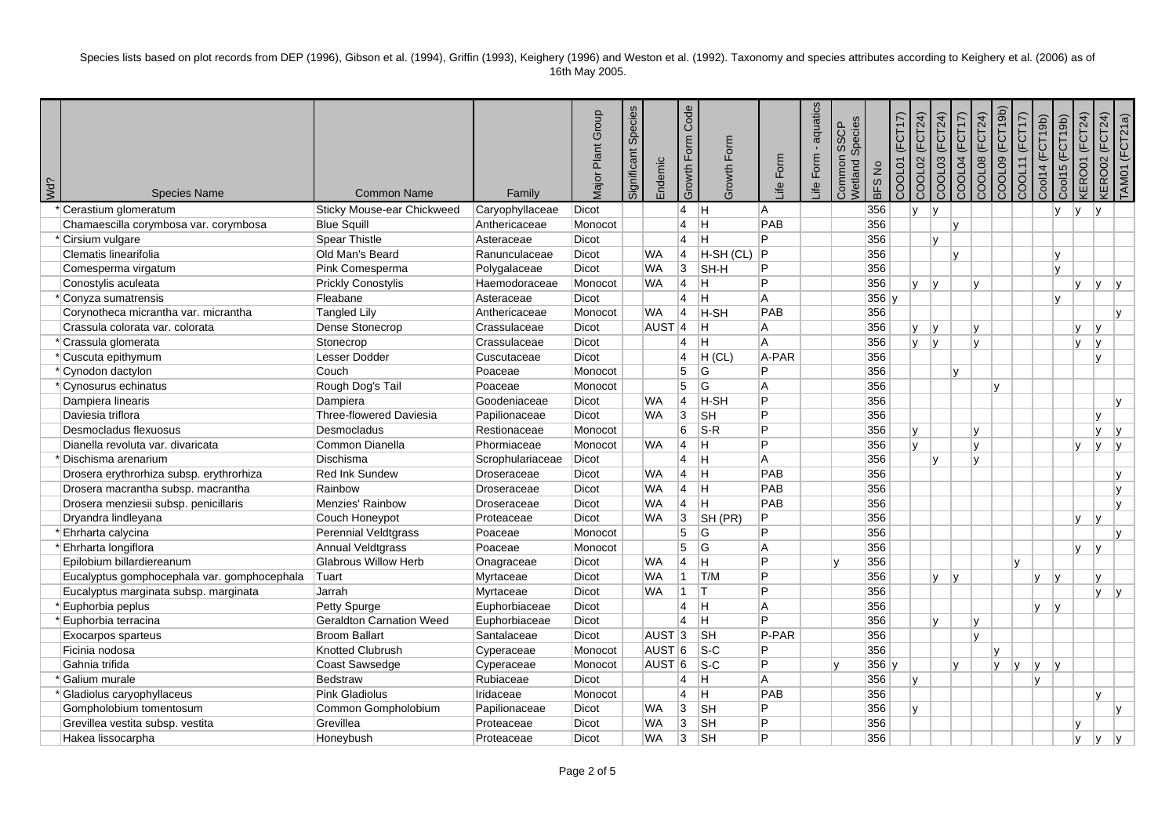| <b>¿PM</b> | <b>Species Name</b>                         | <b>Common Name</b>              | Family             | Major Plant Group | Species<br>Significant | Endemic             | Code<br>Growth Form | Growth Form               | Life Form | aquatics<br>life Form. | Species<br>SSCP<br>Common<br>Wetland | <b>BFSNo</b> | (FCT17)<br>COOL01 | COOL02 (FCT24)<br>COOL03 (FCT24)       | COOL04 (FCT17) | COOL08 (FCT24) | COOL09 (FCT19b) | COOL11 (FCT17) | Cool14 (FCT19b)     | <b>KERO01 (FCT24)</b><br>Cool15 (FCT19b) | <b>KERO02 (FCT24)</b> | TAMO1 (FCT21a) |
|------------|---------------------------------------------|---------------------------------|--------------------|-------------------|------------------------|---------------------|---------------------|---------------------------|-----------|------------------------|--------------------------------------|--------------|-------------------|----------------------------------------|----------------|----------------|-----------------|----------------|---------------------|------------------------------------------|-----------------------|----------------|
|            | Cerastium glomeratum                        | Sticky Mouse-ear Chickweed      | Caryophyllaceae    | Dicot             |                        |                     | 4                   | Iн.                       | A         |                        |                                      | 356          |                   | v <br><b>V</b>                         |                |                |                 |                | $\mathsf{v}$        | lv.                                      | l v                   |                |
|            | Chamaescilla corymbosa var. corymbosa       | <b>Blue Squill</b>              | Anthericaceae      | Monocot           |                        |                     | 4                   | H                         | PAB       |                        |                                      | 356          |                   |                                        | $\mathsf{v}$   |                |                 |                |                     |                                          |                       |                |
|            | * Cirsium vulgare                           | Spear Thistle                   | Asteraceae         | <b>Dicot</b>      |                        |                     | $\overline{4}$      | lн                        | P         |                        |                                      | 356          |                   | lv                                     |                |                |                 |                |                     |                                          |                       |                |
|            | Clematis linearifolia                       | Old Man's Beard                 | Ranunculaceae      | <b>Dicot</b>      |                        | <b>WA</b>           | $\vert 4 \vert$     | H-SH (CL)                 | Þ         |                        |                                      | 356          |                   |                                        | $\mathsf{v}$   |                |                 |                | v                   |                                          |                       |                |
|            | Comesperma virgatum                         | Pink Comesperma                 | Polygalaceae       | <b>Dicot</b>      |                        | <b>WA</b>           | 3                   | <b>SH-H</b>               | P         |                        |                                      | 356          |                   |                                        |                |                |                 |                |                     | v                                        |                       |                |
|            | Conostylis aculeata                         | <b>Prickly Conostylis</b>       | Haemodoraceae      | Monocot           |                        | <b>WA</b>           | $\vert 4 \vert$     | H.                        | Þ         |                        |                                      | 356          |                   | $\mathsf{V}$<br>$\mathsf{I}\mathsf{v}$ |                | v              |                 |                |                     | v                                        | lv.                   | I۷             |
|            | Conyza sumatrensis                          | Fleabane                        | Asteraceae         | Dicot             |                        |                     | 4                   | lH.                       | A         |                        |                                      | $356$ y      |                   |                                        |                |                |                 |                |                     | v                                        |                       |                |
|            | Corynotheca micrantha var. micrantha        | <b>Tangled Lily</b>             | Anthericaceae      | Monocot           |                        | <b>WA</b>           | 4                   | <b>H-SH</b>               | PAB       |                        |                                      | 356          |                   |                                        |                |                |                 |                |                     |                                          |                       |                |
|            | Crassula colorata var. colorata             | Dense Stonecrop                 | Crassulaceae       | <b>Dicot</b>      |                        | $AUST$ <sup>4</sup> |                     | lн.                       | A         |                        |                                      | 356          |                   | ١v<br>V                                |                | v              |                 |                |                     | $\mathbf{v}$                             | $\mathbf{v}$          |                |
|            | * Crassula glomerata                        | Stonecrop                       | Crassulaceae       | <b>Dicot</b>      |                        |                     | $\overline{4}$      | lн                        | A         |                        |                                      | 356          |                   | lv.<br> v                              |                | $\mathbf{v}$   |                 |                |                     | v                                        | Iv.                   |                |
|            | * Cuscuta epithymum                         | <b>Lesser Dodder</b>            | Cuscutaceae        | <b>Dicot</b>      |                        |                     | $\overline{4}$      | H (CL)                    | A-PAR     |                        |                                      | 356          |                   |                                        |                |                |                 |                |                     |                                          | Iv.                   |                |
|            | *Cynodon dactylon                           | Couch                           | Poaceae            | Monocot           |                        |                     | 5                   | G                         | P         |                        |                                      | 356          |                   |                                        | $\mathsf{v}$   |                |                 |                |                     |                                          |                       |                |
|            | * Cynosurus echinatus                       | Rough Dog's Tail                | Poaceae            | Monocot           |                        |                     | 5                   | G                         | A         |                        |                                      | 356          |                   |                                        |                |                | Iv.             |                |                     |                                          |                       |                |
|            | Dampiera linearis                           | Dampiera                        | Goodeniaceae       | Dicot             |                        | <b>WA</b>           | $\overline{4}$      | H-SH                      | Þ         |                        |                                      | 356          |                   |                                        |                |                |                 |                |                     |                                          |                       |                |
|            | Daviesia triflora                           | <b>Three-flowered Daviesia</b>  | Papilionaceae      | <b>Dicot</b>      |                        | <b>WA</b>           | 3                   | <b>SH</b>                 | P         |                        |                                      | 356          |                   |                                        |                |                |                 |                |                     |                                          | $\mathbf{v}$          |                |
|            | Desmocladus flexuosus                       | Desmocladus                     | Restionaceae       | Monocot           |                        |                     | 6                   | $ S-R $                   | P         |                        |                                      | 356          |                   | v                                      |                | $\mathbf{v}$   |                 |                |                     |                                          | v                     | ۱v             |
|            | Dianella revoluta var. divaricata           | Common Dianella                 | Phormiaceae        | Monocot           |                        | <b>WA</b>           | 14                  | lH.                       | P         |                        |                                      | 356          |                   | Iv.                                    |                | $\mathsf{v}$   |                 |                |                     | v                                        | IV.                   | lv             |
|            | 'Dischisma arenarium                        | Dischisma                       | Scrophulariaceae   | <b>Dicot</b>      |                        |                     | $\overline{4}$      | lн.                       | A         |                        |                                      | 356          |                   | lv.                                    |                | lv.            |                 |                |                     |                                          |                       |                |
|            | Drosera erythrorhiza subsp. erythrorhiza    | <b>Red Ink Sundew</b>           | Droseraceae        | <b>Dicot</b>      |                        | <b>WA</b>           | $\overline{4}$      | lн                        | PAB       |                        |                                      | 356          |                   |                                        |                |                |                 |                |                     |                                          |                       |                |
|            | Drosera macrantha subsp. macrantha          | Rainbow                         | Droseraceae        | <b>Dicot</b>      |                        | <b>WA</b>           | $\overline{4}$      | lн.                       | PAB       |                        |                                      | 356          |                   |                                        |                |                |                 |                |                     |                                          |                       | lv.            |
|            | Drosera menziesii subsp. penicillaris       | Menzies' Rainbow                | <b>Droseraceae</b> | <b>Dicot</b>      |                        | <b>WA</b>           | $\vert 4 \vert$     | lн.                       | PAB       |                        |                                      | 356          |                   |                                        |                |                |                 |                |                     |                                          |                       | Iv.            |
|            | Dryandra lindleyana                         | Couch Honeypot                  | Proteaceae         | <b>Dicot</b>      |                        | <b>WA</b>           | 3                   | SH(PR)                    | P         |                        |                                      | 356          |                   |                                        |                |                |                 |                |                     | v                                        | l v                   |                |
|            | Ehrharta calycina                           | Perennial Veldtgrass            | Poaceae            | Monocot           |                        |                     | 5                   | lG.                       | P         |                        |                                      | 356          |                   |                                        |                |                |                 |                |                     |                                          |                       | lv.            |
|            | Ehrharta longiflora                         | Annual Veldtgrass               | Poaceae            | Monocot           |                        |                     | 5                   | lG.                       | A         |                        |                                      | 356          |                   |                                        |                |                |                 |                |                     | v                                        | ۱v                    |                |
|            | Epilobium billardiereanum                   | Glabrous Willow Herb            | Onagraceae         | Dicot             |                        | <b>WA</b>           | 4                   | lн                        | Þ         |                        |                                      | 356          |                   |                                        |                |                |                 | $\mathbf{v}$   |                     |                                          |                       |                |
|            | Eucalyptus gomphocephala var. gomphocephala | Tuart                           | Myrtaceae          | <b>Dicot</b>      |                        | <b>WA</b>           | 11.                 | T/M                       | P         |                        |                                      | 356          |                   | lv.                                    | I۷             |                |                 |                | lv.<br>$\mathsf{v}$ |                                          | v                     |                |
|            | Eucalyptus marginata subsp. marginata       | Jarrah                          | Myrtaceae          | Dicot             |                        | <b>WA</b>           | 1                   | ΙT                        | P         |                        |                                      | 356          |                   |                                        |                |                |                 |                |                     |                                          | IV.                   | I۷             |
|            | <b>Euphorbia</b> peplus                     | Petty Spurge                    | Euphorbiaceae      | Dicot             |                        |                     | $\vert 4 \vert$     | lн                        | A         |                        |                                      | 356          |                   |                                        |                |                |                 |                | Iv.<br> v           |                                          |                       |                |
|            | Euphorbia terracina                         | <b>Geraldton Carnation Weed</b> | Euphorbiaceae      | Dicot             |                        |                     | 4                   | H                         | P         |                        |                                      | 356          |                   | lv.                                    |                | $\mathsf{v}$   |                 |                |                     |                                          |                       |                |
|            | Exocarpos sparteus                          | <b>Broom Ballart</b>            | Santalaceae        | <b>Dicot</b>      |                        | AUST <sub>3</sub>   |                     | <b>SH</b>                 | P-PAR     |                        |                                      | 356          |                   |                                        |                | $\mathbf{v}$   |                 |                |                     |                                          |                       |                |
|            | Ficinia nodosa                              | <b>Knotted Clubrush</b>         | Cyperaceae         | Monocot           |                        | AUST <sub>6</sub>   |                     | $ S-C$                    | P         |                        |                                      | 356          |                   |                                        |                |                | Iv.             |                |                     |                                          |                       |                |
|            | Gahnia trifida                              | Coast Sawsedge                  | Cyperaceae         | Monocot           |                        | $AUST$ 6            |                     | $\overline{\mathsf{s-c}}$ | P         |                        | $\mathbf{v}$                         | $356$ y      |                   |                                        | V              |                | IV.             | lv             | Iv.<br>Iv.          |                                          |                       |                |
|            | Galium murale                               | <b>Bedstraw</b>                 | Rubiaceae          | Dicot             |                        |                     | $\overline{4}$      | H.                        | A         |                        |                                      | 356          |                   | lv.                                    |                |                |                 |                | lv.                 |                                          |                       |                |
|            | Gladiolus caryophyllaceus                   | <b>Pink Gladiolus</b>           | Iridaceae          | Monocot           |                        |                     | 4                   | lH.                       | PAB       |                        |                                      | 356          |                   |                                        |                |                |                 |                |                     |                                          | $\mathsf{v}$          |                |
|            | Gompholobium tomentosum                     | Common Gompholobium             | Papilionaceae      | <b>Dicot</b>      |                        | WA                  | 3                   | <sub>SH</sub>             | P         |                        |                                      | 356          |                   | v                                      |                |                |                 |                |                     |                                          |                       |                |
|            | Grevillea vestita subsp. vestita            | Grevillea                       | Proteaceae         | <b>Dicot</b>      |                        | <b>WA</b>           | 3                   | <b>SH</b>                 | P         |                        |                                      | 356          |                   |                                        |                |                |                 |                |                     | $\mathbf{v}$                             |                       |                |
|            | Hakea lissocarpha                           | Honeybush                       | Proteaceae         | <b>Dicot</b>      |                        | <b>WA</b>           | 3                   | <b>SH</b>                 | P         |                        |                                      | 356          |                   |                                        |                |                |                 |                |                     | v                                        | ۱v                    |                |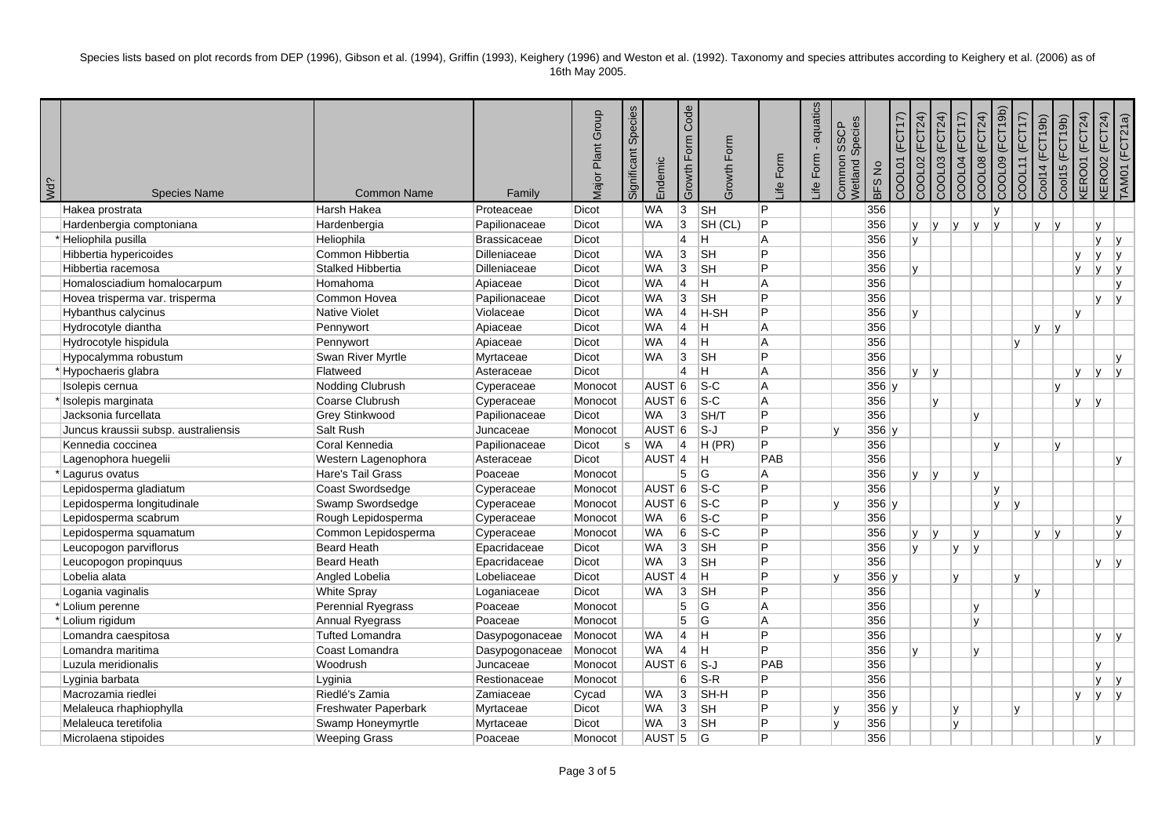| ¿PW | <b>Species Name</b>                  | <b>Common Name</b>     | Family         | Major Plant Group | Significant Species | Endemic           | Code<br>Growth Form | Growth Form                | ife Form       | aquatics<br>life Form. | Species<br><b>SSCP</b><br>Common<br>Wetland | BFS No  | (FCT17)<br>COOL01 | COOL02 (FCT24)<br>COOL03 (FCT24) | COOL04 (FCT17) | COOL08 (FCT24) | COOL09 (FCT19b) | COOL11 (FCT17) | Cool14 (FCT19b) | Cool15 (FCT19b) | <b>KERO01 (FCT24)</b> | <b>KERO02 (FCT24)</b> | TAM01 (FCT21a) |
|-----|--------------------------------------|------------------------|----------------|-------------------|---------------------|-------------------|---------------------|----------------------------|----------------|------------------------|---------------------------------------------|---------|-------------------|----------------------------------|----------------|----------------|-----------------|----------------|-----------------|-----------------|-----------------------|-----------------------|----------------|
|     | Hakea prostrata                      | Harsh Hakea            | Proteaceae     | Dicot             |                     | <b>WA</b>         | $\overline{3}$      | $\overline{\mathsf{S}}$ H  | $\overline{P}$ |                        |                                             | 356     |                   |                                  |                |                | lv.             |                |                 |                 |                       |                       |                |
|     | Hardenbergia comptoniana             | Hardenbergia           | Papilionaceae  | Dicot             |                     | <b>WA</b>         | $\overline{3}$      | SH (CL)                    | P              |                        |                                             | 356     |                   | lv.<br><b>V</b>                  | ly.            | v              | I۷              |                | IV.             | v               | $\mathsf{v}$          |                       |                |
|     | Heliophila pusilla                   | Heliophila             | Brassicaceae   | Dicot             |                     |                   | $\overline{4}$      | lH.                        | A              |                        |                                             | 356     |                   | lv.                              |                |                |                 |                |                 |                 | v                     | ۱v                    |                |
|     | Hibbertia hypericoides               | Common Hibbertia       | Dilleniaceae   | <b>Dicot</b>      |                     | <b>WA</b>         | 3                   | <b>SH</b>                  | Þ              |                        |                                             | 356     |                   |                                  |                |                |                 |                |                 | $\mathsf{v}$    | lv.                   | ۱v                    |                |
|     | Hibbertia racemosa                   | Stalked Hibbertia      | Dilleniaceae   | Dicot             |                     | <b>WA</b>         | 3                   | <b>SH</b>                  | P              |                        |                                             | 356     |                   | lv.                              |                |                |                 |                |                 | v               | lv.                   | ۱v                    |                |
|     | Homalosciadium homalocarpum          | Homahoma               | Apiaceae       | Dicot             |                     | <b>WA</b>         | $\overline{4}$      | lH.                        | A              |                        |                                             | 356     |                   |                                  |                |                |                 |                |                 |                 |                       | lv                    |                |
|     | Hovea trisperma var. trisperma       | Common Hovea           | Papilionaceae  | Dicot             |                     | <b>WA</b>         | 3                   | <b>SH</b>                  | P              |                        |                                             | 356     |                   |                                  |                |                |                 |                |                 |                 | IV.                   | I۷                    |                |
|     | Hybanthus calycinus                  | <b>Native Violet</b>   | Violaceae      | Dicot             |                     | <b>WA</b>         | $\overline{4}$      | $H-SH$                     | P              |                        |                                             | 356     |                   | Iv.                              |                |                |                 |                |                 | v               |                       |                       |                |
|     | Hydrocotyle diantha                  | Pennywort              | Apiaceae       | Dicot             |                     | <b>WA</b>         | $\overline{4}$      | lн.                        | A              |                        |                                             | 356     |                   |                                  |                |                |                 |                | Iv.             | ۱v              |                       |                       |                |
|     | Hydrocotyle hispidula                | Pennywort              | Apiaceae       | <b>Dicot</b>      |                     | <b>WA</b>         | $\overline{4}$      | lH.                        | A              |                        |                                             | 356     |                   |                                  |                |                |                 | $\mathbf{v}$   |                 |                 |                       |                       |                |
|     | Hypocalymma robustum                 | Swan River Myrtle      | Myrtaceae      | Dicot             |                     | <b>WA</b>         | 3                   | <b>SH</b>                  | P              |                        |                                             | 356     |                   |                                  |                |                |                 |                |                 |                 |                       |                       |                |
|     | Hypochaeris glabra                   | Flatweed               | Asteraceae     | Dicot             |                     |                   | $\overline{4}$      | lH.                        | A              |                        |                                             | 356     |                   | <b>V</b><br> v                   |                |                |                 |                |                 | v               | lv.                   | I۷                    |                |
|     | Isolepis cernua                      | Nodding Clubrush       | Cyperaceae     | Monocot           |                     | AUST <sub>6</sub> |                     | $ S-C$                     | A              |                        |                                             | $356$ y |                   |                                  |                |                |                 |                |                 | $\mathsf{v}$    |                       |                       |                |
|     | Isolepis marginata                   | Coarse Clubrush        | Cyperaceae     | Monocot           |                     | AUST <sub>6</sub> |                     | $S-C$                      | A              |                        |                                             | 356     |                   | lv.                              |                |                |                 |                |                 | <b>V</b>        | ۱v                    |                       |                |
|     | Jacksonia furcellata                 | <b>Grey Stinkwood</b>  | Papilionaceae  | <b>Dicot</b>      |                     | <b>WA</b>         | 3                   | SH/T                       | P              |                        |                                             | 356     |                   |                                  |                | $\mathbf{v}$   |                 |                |                 |                 |                       |                       |                |
|     | Juncus kraussii subsp. australiensis | Salt Rush              | Juncaceae      | Monocot           |                     | AUST <sup>6</sup> |                     | ls-J                       | P              |                        | lv.                                         | $356$ y |                   |                                  |                |                |                 |                |                 |                 |                       |                       |                |
|     | Kennedia coccinea                    | Coral Kennedia         | Papilionaceae  | Dicot             | ls.                 | <b>WA</b>         | 4                   | H(PR)                      | P              |                        |                                             | 356     |                   |                                  |                |                | $\mathbf{v}$    |                |                 | v               |                       |                       |                |
|     | Lagenophora huegelii                 | Western Lagenophora    | Asteraceae     | Dicot             |                     | AUST <sup>4</sup> |                     | IH.                        | PAB            |                        |                                             | 356     |                   |                                  |                |                |                 |                |                 |                 |                       | Iv.                   |                |
|     | Lagurus ovatus                       | Hare's Tail Grass      | Poaceae        | Monocot           |                     |                   | 5                   | G                          | A              |                        |                                             | 356     |                   | <b>y</b><br> v                   |                | v              |                 |                |                 |                 |                       |                       |                |
|     | Lepidosperma gladiatum               | Coast Swordsedge       | Cyperaceae     | Monocot           |                     | AUST <sup>6</sup> |                     | $\overline{\mathsf{s}}$ -C | P              |                        |                                             | 356     |                   |                                  |                |                | lv.             |                |                 |                 |                       |                       |                |
|     | Lepidosperma longitudinale           | Swamp Swordsedge       | Cyperaceae     | Monocot           |                     | AUST <sup>6</sup> |                     | $S-C$                      | P              |                        |                                             | $356$ y |                   |                                  |                |                | lv.             | ۱v             |                 |                 |                       |                       |                |
|     | Lepidosperma scabrum                 | Rough Lepidosperma     | Cyperaceae     | Monocot           |                     | <b>WA</b>         | 6                   | $\overline{\text{S-C}}$    | P              |                        |                                             | 356     |                   |                                  |                |                |                 |                |                 |                 |                       | Iv.                   |                |
|     | Lepidosperma squamatum               | Common Lepidosperma    | Cyperaceae     | Monocot           |                     | <b>WA</b>         | 6                   | $S-C$                      | P              |                        |                                             | 356     |                   | <b>V</b><br> v                   |                | $\mathbf{v}$   |                 |                | Iv.             | $\overline{V}$  |                       | lv.                   |                |
|     | Leucopogon parviflorus               | Beard Heath            | Epacridaceae   | Dicot             |                     | <b>WA</b>         | $\overline{3}$      | <b>SH</b>                  | P              |                        |                                             | 356     |                   | lv.                              | $\mathsf{v}$   | $\mathsf{v}$   |                 |                |                 |                 |                       |                       |                |
|     | Leucopogon propinquus                | Beard Heath            | Epacridaceae   | Dicot             |                     | <b>WA</b>         | $\overline{3}$      | <b>SH</b>                  | P              |                        |                                             | 356     |                   |                                  |                |                |                 |                |                 |                 | v                     | lv.                   |                |
|     | Lobelia alata                        | Angled Lobelia         | Lobeliaceae    | <b>Dicot</b>      |                     | AUST <sup>4</sup> |                     | lн.                        | P              |                        | ١v                                          | $356$ y |                   |                                  | v              |                |                 | $\mathbf{v}$   |                 |                 |                       |                       |                |
|     | Logania vaginalis                    | <b>White Spray</b>     | Loganiaceae    | <b>Dicot</b>      |                     | WA                | 3                   | <b>SH</b>                  | P              |                        |                                             | 356     |                   |                                  |                |                |                 |                | Iv.             |                 |                       |                       |                |
|     | *Lolium perenne                      | Perennial Ryegrass     | Poaceae        | Monocot           |                     |                   | 5                   | lG.                        | A              |                        |                                             | 356     |                   |                                  |                | $\mathsf{v}$   |                 |                |                 |                 |                       |                       |                |
|     | Lolium rigidum                       | Annual Ryegrass        | Poaceae        | Monocot           |                     |                   | 5                   | G                          | A              |                        |                                             | 356     |                   |                                  |                | v              |                 |                |                 |                 |                       |                       |                |
|     | Lomandra caespitosa                  | <b>Tufted Lomandra</b> | Dasypogonaceae | Monocot           |                     | <b>WA</b>         | 4                   | lH.                        | P              |                        |                                             | 356     |                   |                                  |                |                |                 |                |                 |                 | v                     | I٧                    |                |
|     | Lomandra maritima                    | Coast Lomandra         | Dasypogonaceae | Monocot           |                     | <b>WA</b>         | $\overline{4}$      | lH.                        | Þ              |                        |                                             | 356     |                   | v                                |                | $\mathbf{v}$   |                 |                |                 |                 |                       |                       |                |
|     | Luzula meridionalis                  | Woodrush               | Juncaceae      | Monocot           |                     | AUST <sup>6</sup> |                     | $ S-J $                    | PAB            |                        |                                             | 356     |                   |                                  |                |                |                 |                |                 |                 | v                     |                       |                |
|     | Lyginia barbata                      | Lyginia                | Restionaceae   | Monocot           |                     |                   | 6                   | $S-R$                      | P              |                        |                                             | 356     |                   |                                  |                |                |                 |                |                 |                 | V                     | ۱v                    |                |
|     | Macrozamia riedlei                   | Riedlé's Zamia         | Zamiaceae      | Cycad             |                     | <b>WA</b>         | 3                   | SH-H                       | P              |                        |                                             | 356     |                   |                                  |                |                |                 |                |                 | v               | lv.                   | lv.                   |                |
|     | Melaleuca rhaphiophylla              | Freshwater Paperbark   | Myrtaceae      | Dicot             |                     | <b>WA</b>         | $\overline{3}$      | <b>SH</b>                  | P              |                        | lv.                                         | $356$ y |                   |                                  | v              |                |                 | v              |                 |                 |                       |                       |                |
|     | Melaleuca teretifolia                | Swamp Honeymyrtle      | Myrtaceae      | <b>Dicot</b>      |                     | <b>WA</b>         | 3                   | <b>SH</b>                  | P              |                        | ۱v                                          | 356     |                   |                                  | $\mathsf{v}$   |                |                 |                |                 |                 |                       |                       |                |
|     | Microlaena stipoides                 | <b>Weeping Grass</b>   | Poaceae        | Monocot           |                     | AUST <sub>5</sub> |                     | lG.                        | P              |                        |                                             | 356     |                   |                                  |                |                |                 |                |                 |                 | IV.                   |                       |                |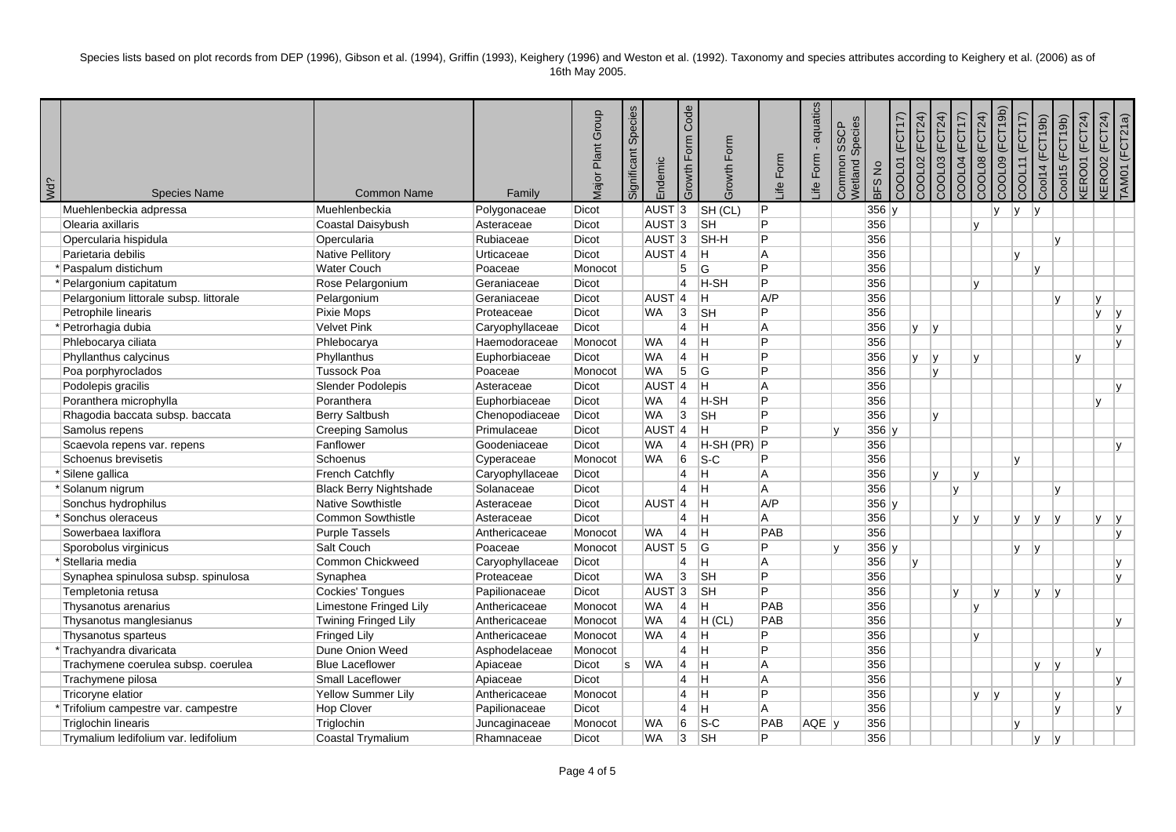| <b>¿PM</b> | <b>Species Name</b>                    | <b>Common Name</b>            | Family          | Major Plant Group | Species<br>Significant | Endemic             | Code<br>Growth Form | Growth Form | ife Form | aquatics<br>life Form. | Species<br>SSCP<br>Common<br>Netland | BFS No  | (FCT17)<br>COOL01 | COOL02 (FCT24)<br>COOL03 (FCT24) | <b>COOL04 (FCT17)</b> | COOL08 (FCT24) | COOL09 (FCT19b) | COOL11 (FCT17) | Cool14 (FCT19b)        | Cool15 (FCT19b) | <b>KERO01 (FCT24)</b> | <b>KERO02 (FCT24)</b> | [AM01 (FCT21a) |
|------------|----------------------------------------|-------------------------------|-----------------|-------------------|------------------------|---------------------|---------------------|-------------|----------|------------------------|--------------------------------------|---------|-------------------|----------------------------------|-----------------------|----------------|-----------------|----------------|------------------------|-----------------|-----------------------|-----------------------|----------------|
|            | Muehlenbeckia adpressa                 | Muehlenbeckia                 | Polygonaceae    | Dicot             |                        | AUST <sub>3</sub>   |                     | SH (CL)     | P        |                        |                                      | $356$ y |                   |                                  |                       |                | IV.             | I٧             | Iv.                    |                 |                       |                       |                |
|            | Olearia axillaris                      | Coastal Daisybush             | Asteraceae      | Dicot             |                        | AUST <sub>3</sub>   |                     | <b>SH</b>   | P        |                        |                                      | 356     |                   |                                  |                       | v              |                 |                |                        |                 |                       |                       |                |
|            | Opercularia hispidula                  | Opercularia                   | Rubiaceae       | Dicot             |                        | AUST <sub>3</sub>   |                     | SH-H        | P        |                        |                                      | 356     |                   |                                  |                       |                |                 |                |                        | $\mathbf{v}$    |                       |                       |                |
|            | Parietaria debilis                     | <b>Native Pellitory</b>       | Urticaceae      | Dicot             |                        | AUST <sub>4</sub>   |                     | H.          | A        |                        |                                      | 356     |                   |                                  |                       |                |                 | $\mathbf{v}$   |                        |                 |                       |                       |                |
|            | Paspalum distichum                     | <b>Water Couch</b>            | Poaceae         | Monocot           |                        |                     | 5                   | lG.         | P        |                        |                                      | 356     |                   |                                  |                       |                |                 |                | $\mathsf{v}$           |                 |                       |                       |                |
|            | Pelargonium capitatum                  | Rose Pelargonium              | Geraniaceae     | Dicot             |                        |                     | $\overline{4}$      | <b>H-SH</b> | P        |                        |                                      | 356     |                   |                                  |                       | $\mathsf{v}$   |                 |                |                        |                 |                       |                       |                |
|            | Pelargonium littorale subsp. littorale | Pelargonium                   | Geraniaceae     | <b>Dicot</b>      |                        | AUST <sub>4</sub>   |                     | lH.         | A/P      |                        |                                      | 356     |                   |                                  |                       |                |                 |                |                        | $\mathbf{v}$    | v                     |                       |                |
|            | Petrophile linearis                    | Pixie Mops                    | Proteaceae      | <b>Dicot</b>      |                        | <b>WA</b>           | 3                   | <b>SH</b>   | P        |                        |                                      | 356     |                   |                                  |                       |                |                 |                |                        |                 | IV.                   | ۱v                    |                |
|            | Petrorhagia dubia                      | Velvet Pink                   | Caryophyllaceae | Dicot             |                        |                     | $\overline{4}$      | lн.         | A        |                        |                                      | 356     |                   | <b>V</b><br>İγ.                  |                       |                |                 |                |                        |                 |                       | lv                    |                |
|            | Phlebocarya ciliata                    | Phlebocarya                   | Haemodoraceae   | Monocot           |                        | <b>WA</b>           | 4                   | ΙH          | P        |                        |                                      | 356     |                   |                                  |                       |                |                 |                |                        |                 |                       | Iv.                   |                |
|            | Phyllanthus calycinus                  | Phyllanthus                   | Euphorbiaceae   | Dicot             |                        | <b>WA</b>           | 4                   | Iн          | P        |                        |                                      | 356     |                   | l٧<br>v                          |                       | $\overline{V}$ |                 |                |                        | $\mathbf{v}$    |                       |                       |                |
|            | Poa porphyroclados                     | <b>Tussock Poa</b>            | Poaceae         | Monocot           |                        | <b>WA</b>           | 5                   | lG.         | P        |                        |                                      | 356     |                   | lv.                              |                       |                |                 |                |                        |                 |                       |                       |                |
|            | Podolepis gracilis                     | Slender Podolepis             | Asteraceae      | <b>Dicot</b>      |                        | AUST <sub>4</sub>   |                     | lн          | A        |                        |                                      | 356     |                   |                                  |                       |                |                 |                |                        |                 |                       | l v                   |                |
|            | Poranthera microphylla                 | Poranthera                    | Euphorbiaceae   | Dicot             |                        | <b>WA</b>           | 14                  | H-SH        | P        |                        |                                      | 356     |                   |                                  |                       |                |                 |                |                        |                 | v                     |                       |                |
|            | Rhagodia baccata subsp. baccata        | Berry Saltbush                | Chenopodiaceae  | <b>Dicot</b>      |                        | <b>WA</b>           | $\overline{3}$      | <b>SH</b>   | P        |                        |                                      | 356     |                   | lv.                              |                       |                |                 |                |                        |                 |                       |                       |                |
|            | Samolus repens                         | <b>Creeping Samolus</b>       | Primulaceae     | Dicot             |                        | $AUST$ <sup>4</sup> |                     | lH.         | P        |                        |                                      | $356$ y |                   |                                  |                       |                |                 |                |                        |                 |                       |                       |                |
|            | Scaevola repens var. repens            | Fanflower                     | Goodeniaceae    | Dicot             |                        | <b>WA</b>           | 4                   | $H-SH(PR)$  | Þ        |                        |                                      | 356     |                   |                                  |                       |                |                 |                |                        |                 |                       | l v                   |                |
|            | Schoenus brevisetis                    | Schoenus                      | Cyperaceae      | Monocot           |                        | <b>WA</b>           | 6                   | $ S-C$      | P        |                        |                                      | 356     |                   |                                  |                       |                |                 | lv.            |                        |                 |                       |                       |                |
|            | Silene gallica                         | <b>French Catchfly</b>        | Caryophyllaceae | Dicot             |                        |                     | $\overline{4}$      | IH.         | A        |                        |                                      | 356     |                   | Iv.                              |                       | v              |                 |                |                        |                 |                       |                       |                |
|            | *Solanum nigrum                        | <b>Black Berry Nightshade</b> | Solanaceae      | Dicot             |                        |                     | 14                  | lн          | A        |                        |                                      | 356     |                   |                                  | v                     |                |                 |                |                        | $\mathbf{v}$    |                       |                       |                |
|            | Sonchus hydrophilus                    | Native Sowthistle             | Asteraceae      | Dicot             |                        | AUST <sub>4</sub>   |                     | lн          | A/P      |                        |                                      | $356$ y |                   |                                  |                       |                |                 |                |                        |                 |                       |                       |                |
|            | Sonchus oleraceus                      | Common Sowthistle             | Asteraceae      | Dicot             |                        |                     | $\overline{4}$      | lн          | A        |                        |                                      | 356     |                   |                                  | V                     | v              |                 | v              | lv.                    | lv.             | V                     | İγ.                   |                |
|            | Sowerbaea laxiflora                    | <b>Purple Tassels</b>         | Anthericaceae   | Monocot           |                        | <b>WA</b>           | 4                   | lн          | PAB      |                        |                                      | 356     |                   |                                  |                       |                |                 |                |                        |                 |                       | Iv.                   |                |
|            | Sporobolus virginicus                  | Salt Couch                    | Poaceae         | Monocot           |                        | $AUST$ 5            |                     | lG.         | P        |                        |                                      | $356$ y |                   |                                  |                       |                |                 | V              | $\mathsf{I}\mathsf{v}$ |                 |                       |                       |                |
|            | *Stellaria media                       | Common Chickweed              | Caryophyllaceae | Dicot             |                        |                     | $\overline{4}$      | lH.         | A        |                        |                                      | 356     |                   | lv.                              |                       |                |                 |                |                        |                 |                       | Iv.                   |                |
|            | Synaphea spinulosa subsp. spinulosa    | Synaphea                      | Proteaceae      | <b>Dicot</b>      |                        | <b>WA</b>           | 3                   | <b>SH</b>   | P        |                        |                                      | 356     |                   |                                  |                       |                |                 |                |                        |                 |                       | Iv.                   |                |
|            | Templetonia retusa                     | Cockies' Tongues              | Papilionaceae   | Dicot             |                        | AUST <sub>3</sub>   |                     | <b>SH</b>   | P        |                        |                                      | 356     |                   |                                  | $\mathsf{v}$          |                | Iv.             |                | <b>V</b>               | I٧              |                       |                       |                |
|            | Thysanotus arenarius                   | Limestone Fringed Lily        | Anthericaceae   | Monocot           |                        | <b>WA</b>           | 4                   | lH.         | PAB      |                        |                                      | 356     |                   |                                  |                       | lv.            |                 |                |                        |                 |                       |                       |                |
|            | Thysanotus manglesianus                | Twining Fringed Lily          | Anthericaceae   | Monocot           |                        | <b>WA</b>           | $\overline{4}$      | H (CL)      | PAB      |                        |                                      | 356     |                   |                                  |                       |                |                 |                |                        |                 |                       | Iv.                   |                |
|            | Thysanotus sparteus                    | <b>Fringed Lily</b>           | Anthericaceae   | Monocot           |                        | <b>WA</b>           | 4                   | H.          | P        |                        |                                      | 356     |                   |                                  |                       | $\mathbf{v}$   |                 |                |                        |                 |                       |                       |                |
|            | *Trachyandra divaricata                | Dune Onion Weed               | Asphodelaceae   | Monocot           |                        |                     | $\overline{4}$      | lн          | P        |                        |                                      | 356     |                   |                                  |                       |                |                 |                |                        |                 | v                     |                       |                |
|            | Trachymene coerulea subsp. coerulea    | <b>Blue Laceflower</b>        | Apiaceae        | <b>Dicot</b>      | ls.                    | <b>WA</b>           | $\overline{4}$      | lн          | A        |                        |                                      | 356     |                   |                                  |                       |                |                 |                | <b>V</b>               | y               |                       |                       |                |
|            | Trachymene pilosa                      | Small Laceflower              | Apiaceae        | Dicot             |                        |                     | $\overline{4}$      | İΗ          | A        |                        |                                      | 356     |                   |                                  |                       |                |                 |                |                        |                 |                       | Iv.                   |                |
|            | Tricoryne elatior                      | Yellow Summer Lily            | Anthericaceae   | Monocot           |                        |                     | $\overline{4}$      | İΗ          | P        |                        |                                      | 356     |                   |                                  |                       | <b>V</b>       | v               |                |                        | v               |                       |                       |                |
|            | *Trifolium campestre var. campestre    | <b>Hop Clover</b>             | Papilionaceae   | Dicot             |                        |                     | 4                   | H.          | A        |                        |                                      | 356     |                   |                                  |                       |                |                 |                |                        | $\mathsf{v}$    |                       | Iv.                   |                |
|            | <b>Triglochin linearis</b>             | Triglochin                    | Juncaginaceae   | Monocot           |                        | <b>WA</b>           | 6                   | $ S-C$      | PAB      | AQE V                  |                                      | 356     |                   |                                  |                       |                |                 | $\mathbf{v}$   |                        |                 |                       |                       |                |
|            | Trymalium ledifolium var. ledifolium   | Coastal Trymalium             | Rhamnaceae      | <b>Dicot</b>      |                        | <b>WA</b>           | 3                   | ∣sн         | P        |                        |                                      | 356     |                   |                                  |                       |                |                 |                | v                      | I٧              |                       |                       |                |